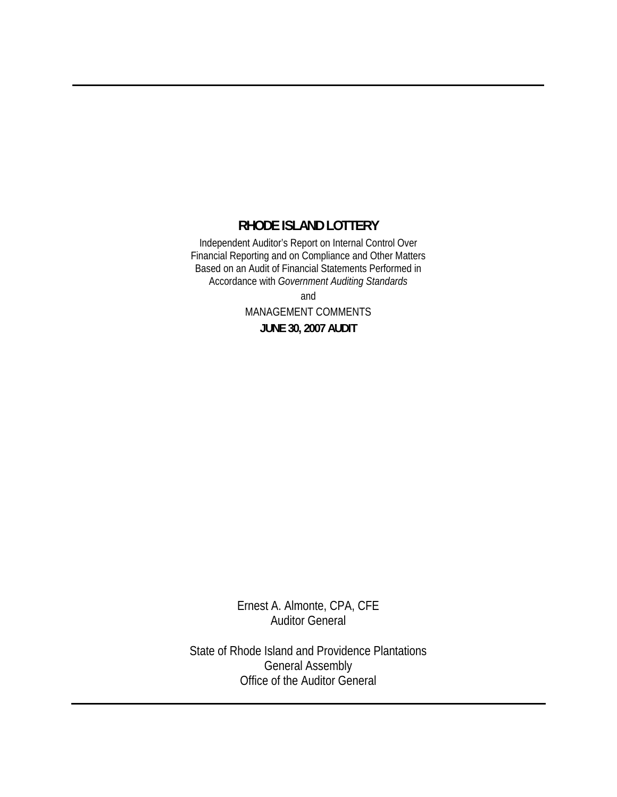# **RHODE ISLAND LOTTERY**

Independent Auditor's Report on Internal Control Over Financial Reporting and on Compliance and Other Matters Based on an Audit of Financial Statements Performed in Accordance with *Government Auditing Standards*

> and MANAGEMENT COMMENTS **JUNE 30, 2007 AUDIT**

Ernest A. Almonte, CPA, CFE Auditor General

State of Rhode Island and Providence Plantations General Assembly Office of the Auditor General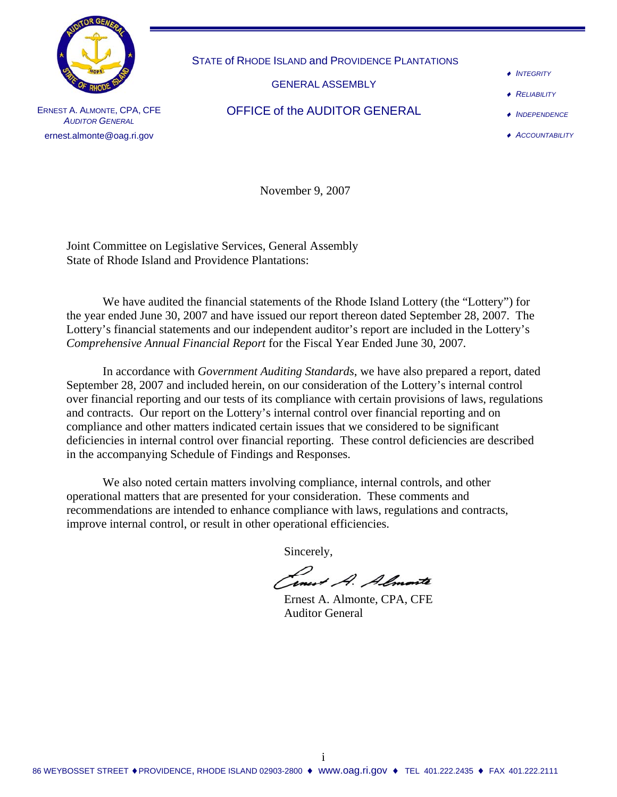

STATE of RHODE ISLAND and PROVIDENCE PLANTATIONS

GENERAL ASSEMBLY

OFFICE of the AUDITOR GENERAL

♦ *INTEGRITY*

♦ *RELIABILITY*

♦ *INDEPENDENCE*

♦ *ACCOUNTABILITY*

ERNEST A. ALMONTE, CPA, CFE **AUDITOR GENERAL** ernest.almonte@oag.ri.gov

November 9, 2007

Joint Committee on Legislative Services, General Assembly State of Rhode Island and Providence Plantations:

 We have audited the financial statements of the Rhode Island Lottery (the "Lottery") for the year ended June 30, 2007 and have issued our report thereon dated September 28, 2007. The Lottery's financial statements and our independent auditor's report are included in the Lottery's *Comprehensive Annual Financial Report* for the Fiscal Year Ended June 30, 2007*.* 

In accordance with *Government Auditing Standards*, we have also prepared a report, dated September 28, 2007 and included herein, on our consideration of the Lottery's internal control over financial reporting and our tests of its compliance with certain provisions of laws, regulations and contracts. Our report on the Lottery's internal control over financial reporting and on compliance and other matters indicated certain issues that we considered to be significant deficiencies in internal control over financial reporting. These control deficiencies are described in the accompanying Schedule of Findings and Responses.

 We also noted certain matters involving compliance, internal controls, and other operational matters that are presented for your consideration. These comments and recommendations are intended to enhance compliance with laws, regulations and contracts, improve internal control, or result in other operational efficiencies.

Sincerely,

Inest A. Almonte

Auditor General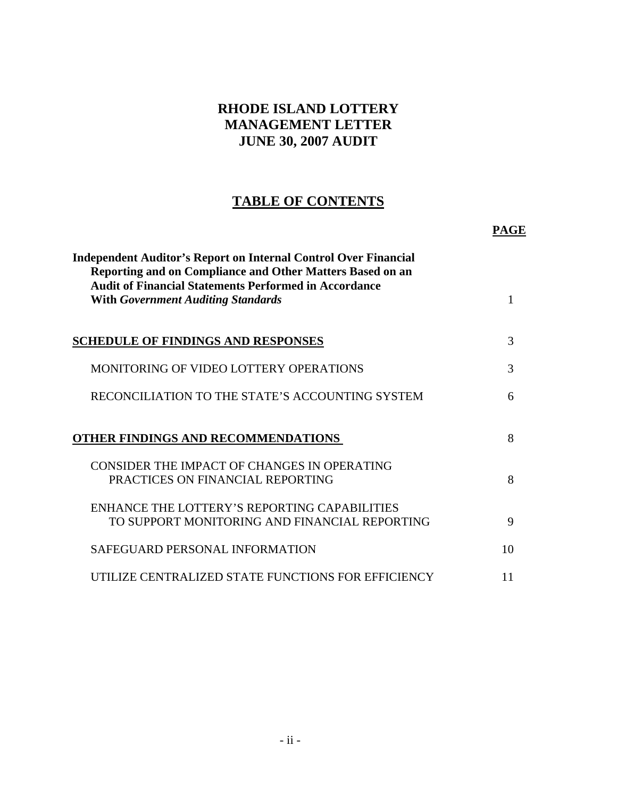# **RHODE ISLAND LOTTERY MANAGEMENT LETTER JUNE 30, 2007 AUDIT**

# **TABLE OF CONTENTS**

 **PAGE**

| <b>Independent Auditor's Report on Internal Control Over Financial</b><br>Reporting and on Compliance and Other Matters Based on an<br><b>Audit of Financial Statements Performed in Accordance</b><br><b>With Government Auditing Standards</b> | 1  |
|--------------------------------------------------------------------------------------------------------------------------------------------------------------------------------------------------------------------------------------------------|----|
|                                                                                                                                                                                                                                                  |    |
| <b>SCHEDULE OF FINDINGS AND RESPONSES</b>                                                                                                                                                                                                        | 3  |
| MONITORING OF VIDEO LOTTERY OPERATIONS                                                                                                                                                                                                           | 3  |
| RECONCILIATION TO THE STATE'S ACCOUNTING SYSTEM                                                                                                                                                                                                  | 6  |
| OTHER FINDINGS AND RECOMMENDATIONS                                                                                                                                                                                                               | 8  |
| CONSIDER THE IMPACT OF CHANGES IN OPERATING<br>PRACTICES ON FINANCIAL REPORTING                                                                                                                                                                  | 8  |
| ENHANCE THE LOTTERY'S REPORTING CAPABILITIES<br>TO SUPPORT MONITORING AND FINANCIAL REPORTING                                                                                                                                                    | 9  |
| SAFEGUARD PERSONAL INFORMATION                                                                                                                                                                                                                   | 10 |
| UTILIZE CENTRALIZED STATE FUNCTIONS FOR EFFICIENCY                                                                                                                                                                                               | 11 |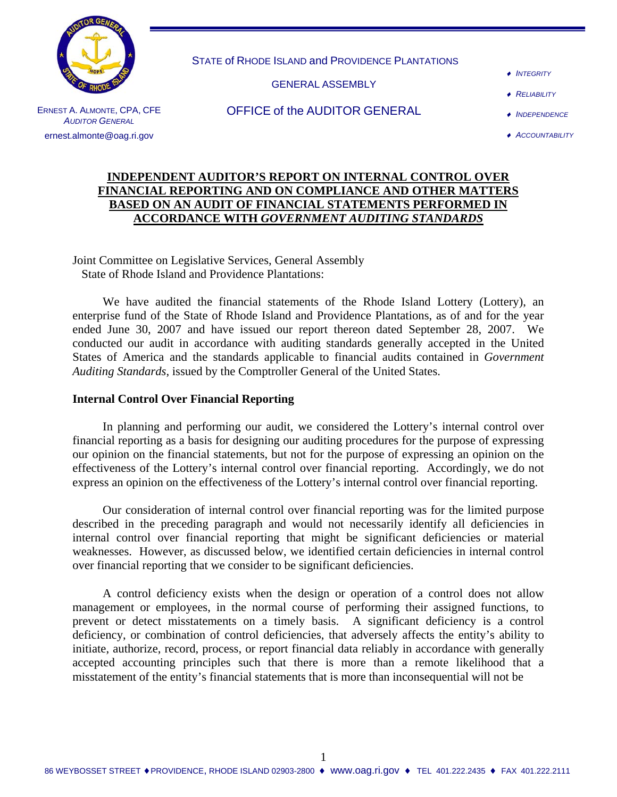

STATE of RHODE ISLAND and PROVIDENCE PLANTATIONS

GENERAL ASSEMBLY

♦ *INTEGRITY*

♦ *RELIABILITY*

ERNEST A. ALMONTE, CPA, CFE **AUDITOR GENERAL** ernest.almonte@oag.ri.gov

OFFICE of the AUDITOR GENERAL

- ♦ *INDEPENDENCE*
- ♦ *ACCOUNTABILITY*

### **INDEPENDENT AUDITOR'S REPORT ON INTERNAL CONTROL OVER FINANCIAL REPORTING AND ON COMPLIANCE AND OTHER MATTERS BASED ON AN AUDIT OF FINANCIAL STATEMENTS PERFORMED IN ACCORDANCE WITH** *GOVERNMENT AUDITING STANDARDS*

Joint Committee on Legislative Services, General Assembly State of Rhode Island and Providence Plantations:

 We have audited the financial statements of the Rhode Island Lottery (Lottery), an enterprise fund of the State of Rhode Island and Providence Plantations, as of and for the year ended June 30, 2007 and have issued our report thereon dated September 28, 2007. We conducted our audit in accordance with auditing standards generally accepted in the United States of America and the standards applicable to financial audits contained in *Government Auditing Standards*, issued by the Comptroller General of the United States.

#### **Internal Control Over Financial Reporting**

 In planning and performing our audit, we considered the Lottery's internal control over financial reporting as a basis for designing our auditing procedures for the purpose of expressing our opinion on the financial statements, but not for the purpose of expressing an opinion on the effectiveness of the Lottery's internal control over financial reporting. Accordingly, we do not express an opinion on the effectiveness of the Lottery's internal control over financial reporting.

 Our consideration of internal control over financial reporting was for the limited purpose described in the preceding paragraph and would not necessarily identify all deficiencies in internal control over financial reporting that might be significant deficiencies or material weaknesses. However, as discussed below, we identified certain deficiencies in internal control over financial reporting that we consider to be significant deficiencies.

 A control deficiency exists when the design or operation of a control does not allow management or employees, in the normal course of performing their assigned functions, to prevent or detect misstatements on a timely basis. A significant deficiency is a control deficiency, or combination of control deficiencies, that adversely affects the entity's ability to initiate, authorize, record, process, or report financial data reliably in accordance with generally accepted accounting principles such that there is more than a remote likelihood that a misstatement of the entity's financial statements that is more than inconsequential will not be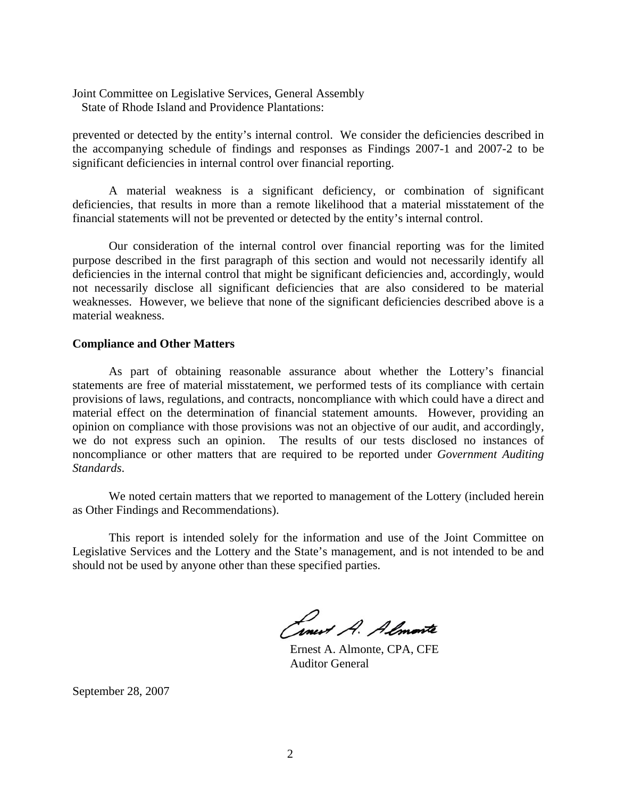Joint Committee on Legislative Services, General Assembly State of Rhode Island and Providence Plantations:

prevented or detected by the entity's internal control. We consider the deficiencies described in the accompanying schedule of findings and responses as Findings 2007-1 and 2007-2 to be significant deficiencies in internal control over financial reporting.

 A material weakness is a significant deficiency, or combination of significant deficiencies, that results in more than a remote likelihood that a material misstatement of the financial statements will not be prevented or detected by the entity's internal control.

 Our consideration of the internal control over financial reporting was for the limited purpose described in the first paragraph of this section and would not necessarily identify all deficiencies in the internal control that might be significant deficiencies and, accordingly, would not necessarily disclose all significant deficiencies that are also considered to be material weaknesses. However, we believe that none of the significant deficiencies described above is a material weakness.

#### **Compliance and Other Matters**

 As part of obtaining reasonable assurance about whether the Lottery's financial statements are free of material misstatement, we performed tests of its compliance with certain provisions of laws, regulations, and contracts, noncompliance with which could have a direct and material effect on the determination of financial statement amounts. However, providing an opinion on compliance with those provisions was not an objective of our audit, and accordingly, we do not express such an opinion. The results of our tests disclosed no instances of noncompliance or other matters that are required to be reported under *Government Auditing Standards*.

 We noted certain matters that we reported to management of the Lottery (included herein as Other Findings and Recommendations).

 This report is intended solely for the information and use of the Joint Committee on Legislative Services and the Lottery and the State's management, and is not intended to be and should not be used by anyone other than these specified parties.

Cinet A. Almonte

 Ernest A. Almonte, CPA, CFE Auditor General

September 28, 2007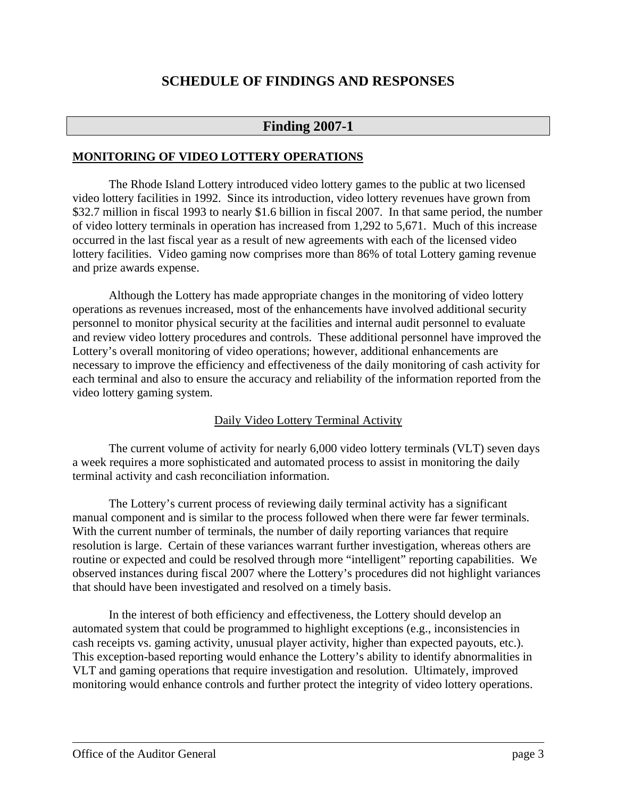# **SCHEDULE OF FINDINGS AND RESPONSES**

# **Finding 2007-1**

### **MONITORING OF VIDEO LOTTERY OPERATIONS**

The Rhode Island Lottery introduced video lottery games to the public at two licensed video lottery facilities in 1992. Since its introduction, video lottery revenues have grown from \$32.7 million in fiscal 1993 to nearly \$1.6 billion in fiscal 2007. In that same period, the number of video lottery terminals in operation has increased from 1,292 to 5,671. Much of this increase occurred in the last fiscal year as a result of new agreements with each of the licensed video lottery facilities. Video gaming now comprises more than 86% of total Lottery gaming revenue and prize awards expense.

Although the Lottery has made appropriate changes in the monitoring of video lottery operations as revenues increased, most of the enhancements have involved additional security personnel to monitor physical security at the facilities and internal audit personnel to evaluate and review video lottery procedures and controls. These additional personnel have improved the Lottery's overall monitoring of video operations; however, additional enhancements are necessary to improve the efficiency and effectiveness of the daily monitoring of cash activity for each terminal and also to ensure the accuracy and reliability of the information reported from the video lottery gaming system.

# Daily Video Lottery Terminal Activity

The current volume of activity for nearly 6,000 video lottery terminals (VLT) seven days a week requires a more sophisticated and automated process to assist in monitoring the daily terminal activity and cash reconciliation information.

The Lottery's current process of reviewing daily terminal activity has a significant manual component and is similar to the process followed when there were far fewer terminals. With the current number of terminals, the number of daily reporting variances that require resolution is large. Certain of these variances warrant further investigation, whereas others are routine or expected and could be resolved through more "intelligent" reporting capabilities. We observed instances during fiscal 2007 where the Lottery's procedures did not highlight variances that should have been investigated and resolved on a timely basis.

In the interest of both efficiency and effectiveness, the Lottery should develop an automated system that could be programmed to highlight exceptions (e.g., inconsistencies in cash receipts vs. gaming activity, unusual player activity, higher than expected payouts, etc.). This exception-based reporting would enhance the Lottery's ability to identify abnormalities in VLT and gaming operations that require investigation and resolution. Ultimately, improved monitoring would enhance controls and further protect the integrity of video lottery operations.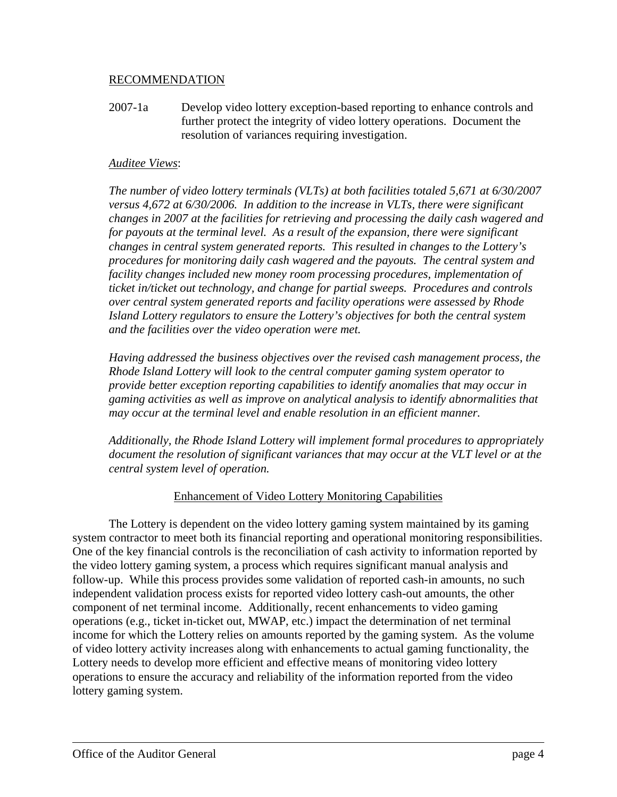### RECOMMENDATION

2007-1a Develop video lottery exception-based reporting to enhance controls and further protect the integrity of video lottery operations. Document the resolution of variances requiring investigation.

### *Auditee Views*:

*The number of video lottery terminals (VLTs) at both facilities totaled 5,671 at 6/30/2007 versus 4,672 at 6/30/2006. In addition to the increase in VLTs, there were significant changes in 2007 at the facilities for retrieving and processing the daily cash wagered and for payouts at the terminal level. As a result of the expansion, there were significant changes in central system generated reports. This resulted in changes to the Lottery's procedures for monitoring daily cash wagered and the payouts. The central system and facility changes included new money room processing procedures, implementation of ticket in/ticket out technology, and change for partial sweeps. Procedures and controls over central system generated reports and facility operations were assessed by Rhode Island Lottery regulators to ensure the Lottery's objectives for both the central system and the facilities over the video operation were met.* 

*Having addressed the business objectives over the revised cash management process, the Rhode Island Lottery will look to the central computer gaming system operator to provide better exception reporting capabilities to identify anomalies that may occur in gaming activities as well as improve on analytical analysis to identify abnormalities that may occur at the terminal level and enable resolution in an efficient manner.* 

*Additionally, the Rhode Island Lottery will implement formal procedures to appropriately document the resolution of significant variances that may occur at the VLT level or at the central system level of operation.* 

# Enhancement of Video Lottery Monitoring Capabilities

The Lottery is dependent on the video lottery gaming system maintained by its gaming system contractor to meet both its financial reporting and operational monitoring responsibilities. One of the key financial controls is the reconciliation of cash activity to information reported by the video lottery gaming system, a process which requires significant manual analysis and follow-up. While this process provides some validation of reported cash-in amounts, no such independent validation process exists for reported video lottery cash-out amounts, the other component of net terminal income. Additionally, recent enhancements to video gaming operations (e.g., ticket in-ticket out, MWAP, etc.) impact the determination of net terminal income for which the Lottery relies on amounts reported by the gaming system. As the volume of video lottery activity increases along with enhancements to actual gaming functionality, the Lottery needs to develop more efficient and effective means of monitoring video lottery operations to ensure the accuracy and reliability of the information reported from the video lottery gaming system.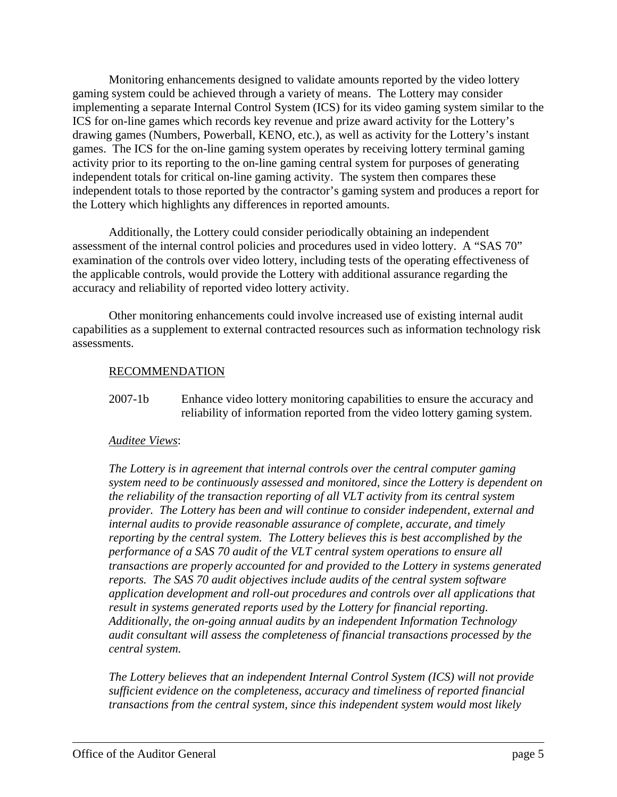Monitoring enhancements designed to validate amounts reported by the video lottery gaming system could be achieved through a variety of means. The Lottery may consider implementing a separate Internal Control System (ICS) for its video gaming system similar to the ICS for on-line games which records key revenue and prize award activity for the Lottery's drawing games (Numbers, Powerball, KENO, etc.), as well as activity for the Lottery's instant games. The ICS for the on-line gaming system operates by receiving lottery terminal gaming activity prior to its reporting to the on-line gaming central system for purposes of generating independent totals for critical on-line gaming activity. The system then compares these independent totals to those reported by the contractor's gaming system and produces a report for the Lottery which highlights any differences in reported amounts.

 Additionally, the Lottery could consider periodically obtaining an independent assessment of the internal control policies and procedures used in video lottery. A "SAS 70" examination of the controls over video lottery, including tests of the operating effectiveness of the applicable controls, would provide the Lottery with additional assurance regarding the accuracy and reliability of reported video lottery activity.

 Other monitoring enhancements could involve increased use of existing internal audit capabilities as a supplement to external contracted resources such as information technology risk assessments.

# RECOMMENDATION

2007-1b Enhance video lottery monitoring capabilities to ensure the accuracy and reliability of information reported from the video lottery gaming system.

#### *Auditee Views*:

*The Lottery is in agreement that internal controls over the central computer gaming system need to be continuously assessed and monitored, since the Lottery is dependent on the reliability of the transaction reporting of all VLT activity from its central system provider. The Lottery has been and will continue to consider independent, external and internal audits to provide reasonable assurance of complete, accurate, and timely reporting by the central system. The Lottery believes this is best accomplished by the performance of a SAS 70 audit of the VLT central system operations to ensure all transactions are properly accounted for and provided to the Lottery in systems generated reports. The SAS 70 audit objectives include audits of the central system software application development and roll-out procedures and controls over all applications that result in systems generated reports used by the Lottery for financial reporting. Additionally, the on-going annual audits by an independent Information Technology audit consultant will assess the completeness of financial transactions processed by the central system.* 

*The Lottery believes that an independent Internal Control System (ICS) will not provide sufficient evidence on the completeness, accuracy and timeliness of reported financial transactions from the central system, since this independent system would most likely*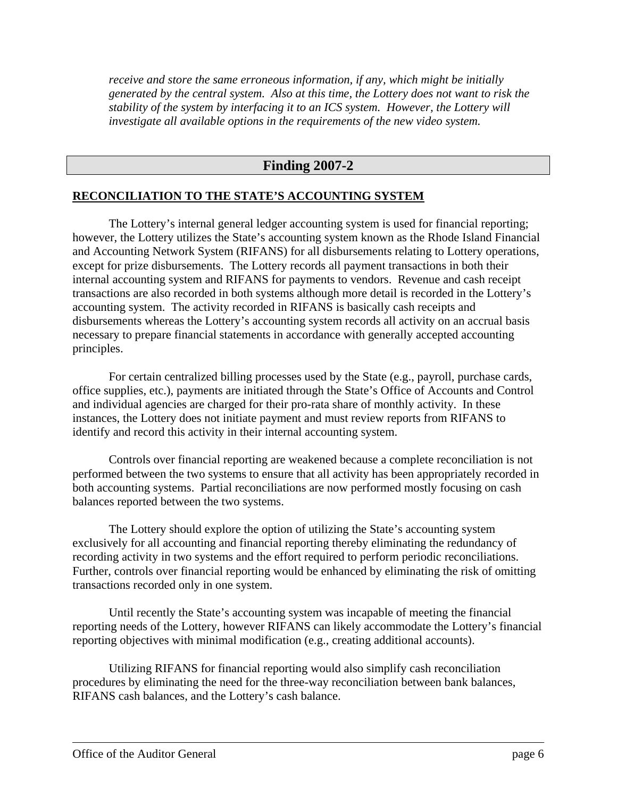*receive and store the same erroneous information, if any, which might be initially generated by the central system. Also at this time, the Lottery does not want to risk the stability of the system by interfacing it to an ICS system. However, the Lottery will investigate all available options in the requirements of the new video system.* 

# **Finding 2007-2**

#### **RECONCILIATION TO THE STATE'S ACCOUNTING SYSTEM**

The Lottery's internal general ledger accounting system is used for financial reporting; however, the Lottery utilizes the State's accounting system known as the Rhode Island Financial and Accounting Network System (RIFANS) for all disbursements relating to Lottery operations, except for prize disbursements. The Lottery records all payment transactions in both their internal accounting system and RIFANS for payments to vendors. Revenue and cash receipt transactions are also recorded in both systems although more detail is recorded in the Lottery's accounting system. The activity recorded in RIFANS is basically cash receipts and disbursements whereas the Lottery's accounting system records all activity on an accrual basis necessary to prepare financial statements in accordance with generally accepted accounting principles.

For certain centralized billing processes used by the State (e.g., payroll, purchase cards, office supplies, etc.), payments are initiated through the State's Office of Accounts and Control and individual agencies are charged for their pro-rata share of monthly activity. In these instances, the Lottery does not initiate payment and must review reports from RIFANS to identify and record this activity in their internal accounting system.

Controls over financial reporting are weakened because a complete reconciliation is not performed between the two systems to ensure that all activity has been appropriately recorded in both accounting systems. Partial reconciliations are now performed mostly focusing on cash balances reported between the two systems.

The Lottery should explore the option of utilizing the State's accounting system exclusively for all accounting and financial reporting thereby eliminating the redundancy of recording activity in two systems and the effort required to perform periodic reconciliations. Further, controls over financial reporting would be enhanced by eliminating the risk of omitting transactions recorded only in one system.

Until recently the State's accounting system was incapable of meeting the financial reporting needs of the Lottery, however RIFANS can likely accommodate the Lottery's financial reporting objectives with minimal modification (e.g., creating additional accounts).

Utilizing RIFANS for financial reporting would also simplify cash reconciliation procedures by eliminating the need for the three-way reconciliation between bank balances, RIFANS cash balances, and the Lottery's cash balance.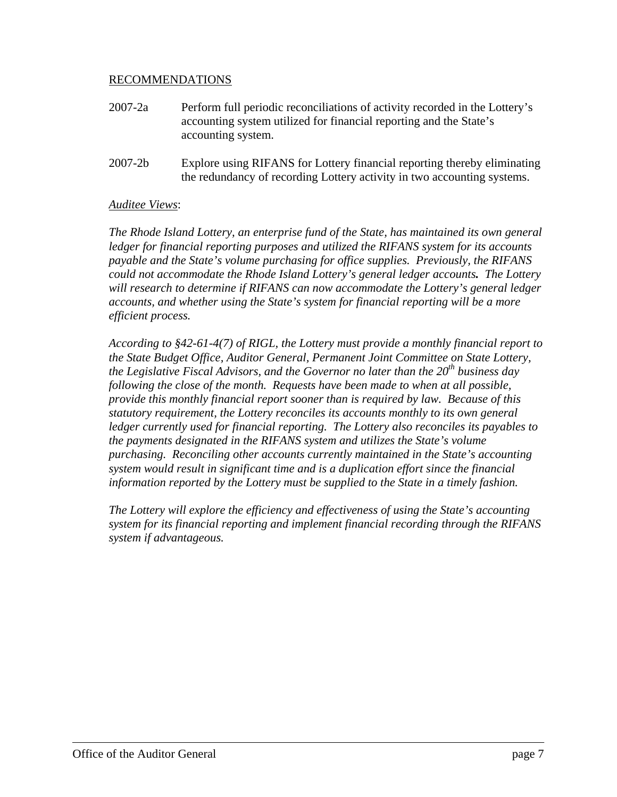### RECOMMENDATIONS

- 2007-2a Perform full periodic reconciliations of activity recorded in the Lottery's accounting system utilized for financial reporting and the State's accounting system.
- 2007-2b Explore using RIFANS for Lottery financial reporting thereby eliminating the redundancy of recording Lottery activity in two accounting systems.

### *Auditee Views*:

*The Rhode Island Lottery, an enterprise fund of the State, has maintained its own general ledger for financial reporting purposes and utilized the RIFANS system for its accounts payable and the State's volume purchasing for office supplies. Previously, the RIFANS could not accommodate the Rhode Island Lottery's general ledger accounts. The Lottery will research to determine if RIFANS can now accommodate the Lottery's general ledger accounts, and whether using the State's system for financial reporting will be a more efficient process.* 

*According to §42-61-4(7) of RIGL, the Lottery must provide a monthly financial report to the State Budget Office, Auditor General, Permanent Joint Committee on State Lottery, the Legislative Fiscal Advisors, and the Governor no later than the 20<sup>th</sup> business day following the close of the month. Requests have been made to when at all possible, provide this monthly financial report sooner than is required by law. Because of this statutory requirement, the Lottery reconciles its accounts monthly to its own general ledger currently used for financial reporting. The Lottery also reconciles its payables to the payments designated in the RIFANS system and utilizes the State's volume purchasing. Reconciling other accounts currently maintained in the State's accounting system would result in significant time and is a duplication effort since the financial information reported by the Lottery must be supplied to the State in a timely fashion.* 

*The Lottery will explore the efficiency and effectiveness of using the State's accounting system for its financial reporting and implement financial recording through the RIFANS system if advantageous.*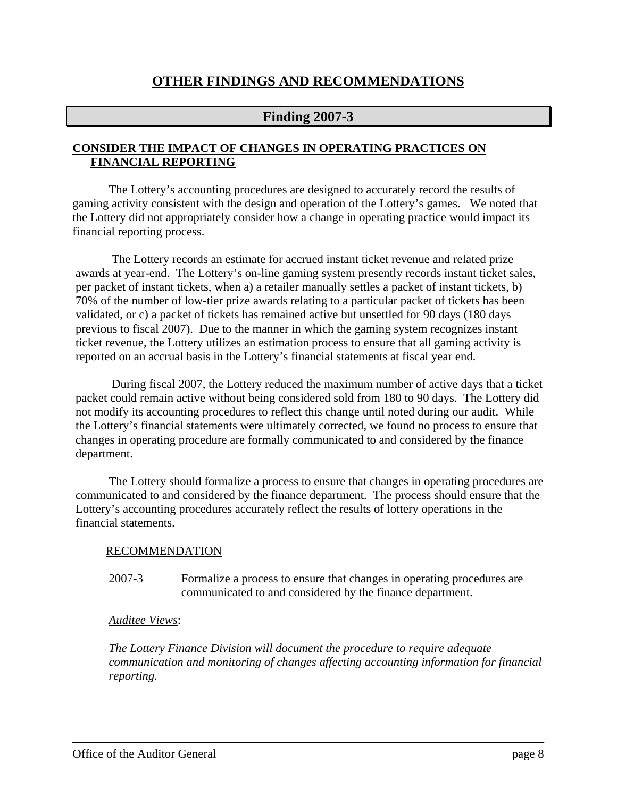# **OTHER FINDINGS AND RECOMMENDATIONS**

# **Finding 2007-3**

### **CONSIDER THE IMPACT OF CHANGES IN OPERATING PRACTICES ON FINANCIAL REPORTING**

The Lottery's accounting procedures are designed to accurately record the results of gaming activity consistent with the design and operation of the Lottery's games. We noted that the Lottery did not appropriately consider how a change in operating practice would impact its financial reporting process.

The Lottery records an estimate for accrued instant ticket revenue and related prize awards at year-end. The Lottery's on-line gaming system presently records instant ticket sales, per packet of instant tickets, when a) a retailer manually settles a packet of instant tickets, b) 70% of the number of low-tier prize awards relating to a particular packet of tickets has been validated, or c) a packet of tickets has remained active but unsettled for 90 days (180 days previous to fiscal 2007). Due to the manner in which the gaming system recognizes instant ticket revenue, the Lottery utilizes an estimation process to ensure that all gaming activity is reported on an accrual basis in the Lottery's financial statements at fiscal year end.

During fiscal 2007, the Lottery reduced the maximum number of active days that a ticket packet could remain active without being considered sold from 180 to 90 days. The Lottery did not modify its accounting procedures to reflect this change until noted during our audit. While the Lottery's financial statements were ultimately corrected, we found no process to ensure that changes in operating procedure are formally communicated to and considered by the finance department.

The Lottery should formalize a process to ensure that changes in operating procedures are communicated to and considered by the finance department. The process should ensure that the Lottery's accounting procedures accurately reflect the results of lottery operations in the financial statements.

#### RECOMMENDATION

2007-3 Formalize a process to ensure that changes in operating procedures are communicated to and considered by the finance department.

#### *Auditee Views*:

*The Lottery Finance Division will document the procedure to require adequate communication and monitoring of changes affecting accounting information for financial reporting.*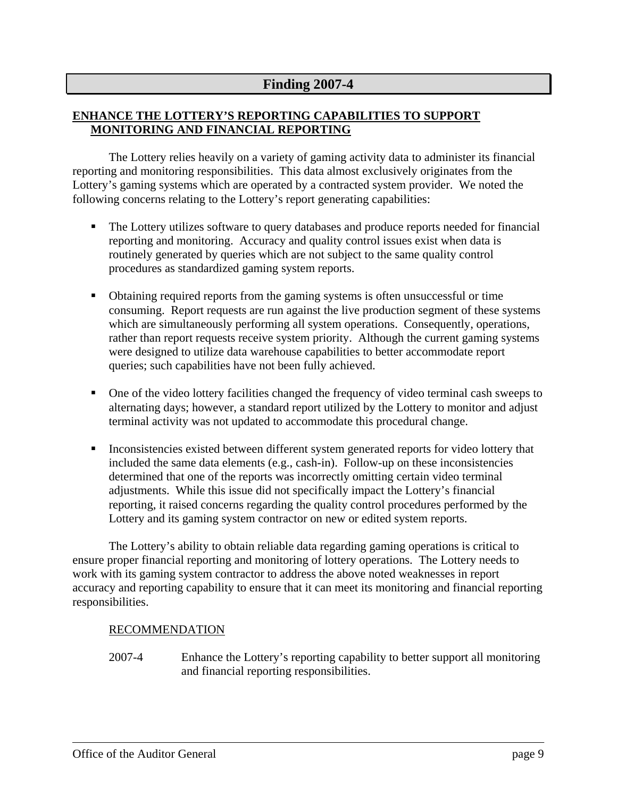# **Finding 2007-4**

# **ENHANCE THE LOTTERY'S REPORTING CAPABILITIES TO SUPPORT MONITORING AND FINANCIAL REPORTING**

The Lottery relies heavily on a variety of gaming activity data to administer its financial reporting and monitoring responsibilities. This data almost exclusively originates from the Lottery's gaming systems which are operated by a contracted system provider. We noted the following concerns relating to the Lottery's report generating capabilities:

- The Lottery utilizes software to query databases and produce reports needed for financial reporting and monitoring. Accuracy and quality control issues exist when data is routinely generated by queries which are not subject to the same quality control procedures as standardized gaming system reports.
- Obtaining required reports from the gaming systems is often unsuccessful or time consuming. Report requests are run against the live production segment of these systems which are simultaneously performing all system operations. Consequently, operations, rather than report requests receive system priority. Although the current gaming systems were designed to utilize data warehouse capabilities to better accommodate report queries; such capabilities have not been fully achieved.
- One of the video lottery facilities changed the frequency of video terminal cash sweeps to alternating days; however, a standard report utilized by the Lottery to monitor and adjust terminal activity was not updated to accommodate this procedural change.
- **Inconsistencies existed between different system generated reports for video lottery that** included the same data elements (e.g., cash-in). Follow-up on these inconsistencies determined that one of the reports was incorrectly omitting certain video terminal adjustments. While this issue did not specifically impact the Lottery's financial reporting, it raised concerns regarding the quality control procedures performed by the Lottery and its gaming system contractor on new or edited system reports.

The Lottery's ability to obtain reliable data regarding gaming operations is critical to ensure proper financial reporting and monitoring of lottery operations. The Lottery needs to work with its gaming system contractor to address the above noted weaknesses in report accuracy and reporting capability to ensure that it can meet its monitoring and financial reporting responsibilities.

# RECOMMENDATION

2007-4 Enhance the Lottery's reporting capability to better support all monitoring and financial reporting responsibilities.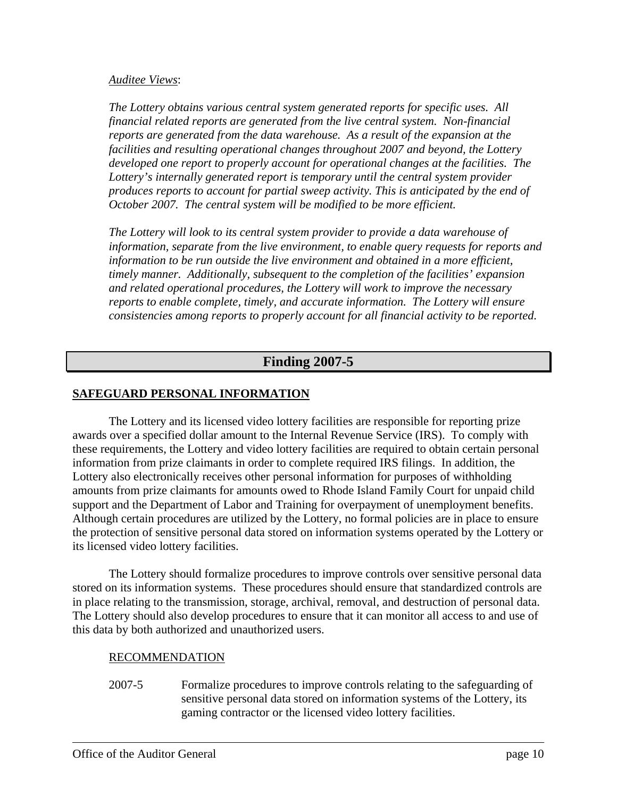### *Auditee Views*:

*The Lottery obtains various central system generated reports for specific uses. All financial related reports are generated from the live central system. Non-financial reports are generated from the data warehouse. As a result of the expansion at the facilities and resulting operational changes throughout 2007 and beyond, the Lottery developed one report to properly account for operational changes at the facilities. The Lottery's internally generated report is temporary until the central system provider produces reports to account for partial sweep activity. This is anticipated by the end of October 2007. The central system will be modified to be more efficient.* 

*The Lottery will look to its central system provider to provide a data warehouse of information, separate from the live environment, to enable query requests for reports and*  information to be run outside the live environment and obtained in a more efficient, *timely manner. Additionally, subsequent to the completion of the facilities' expansion and related operational procedures, the Lottery will work to improve the necessary reports to enable complete, timely, and accurate information. The Lottery will ensure consistencies among reports to properly account for all financial activity to be reported.* 

# **Finding 2007-5**

# **SAFEGUARD PERSONAL INFORMATION**

The Lottery and its licensed video lottery facilities are responsible for reporting prize awards over a specified dollar amount to the Internal Revenue Service (IRS). To comply with these requirements, the Lottery and video lottery facilities are required to obtain certain personal information from prize claimants in order to complete required IRS filings. In addition, the Lottery also electronically receives other personal information for purposes of withholding amounts from prize claimants for amounts owed to Rhode Island Family Court for unpaid child support and the Department of Labor and Training for overpayment of unemployment benefits. Although certain procedures are utilized by the Lottery, no formal policies are in place to ensure the protection of sensitive personal data stored on information systems operated by the Lottery or its licensed video lottery facilities.

The Lottery should formalize procedures to improve controls over sensitive personal data stored on its information systems. These procedures should ensure that standardized controls are in place relating to the transmission, storage, archival, removal, and destruction of personal data. The Lottery should also develop procedures to ensure that it can monitor all access to and use of this data by both authorized and unauthorized users.

# RECOMMENDATION

2007-5 Formalize procedures to improve controls relating to the safeguarding of sensitive personal data stored on information systems of the Lottery, its gaming contractor or the licensed video lottery facilities.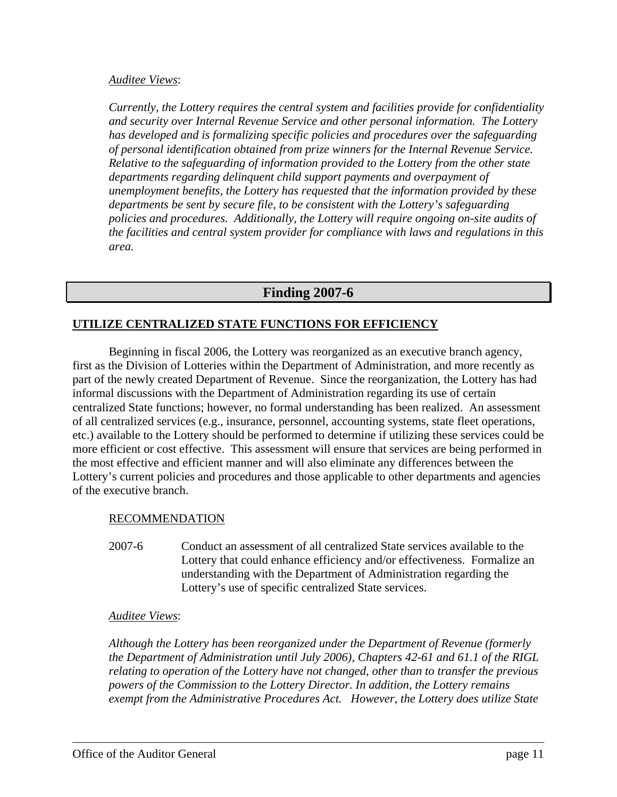### *Auditee Views*:

*Currently, the Lottery requires the central system and facilities provide for confidentiality and security over Internal Revenue Service and other personal information. The Lottery has developed and is formalizing specific policies and procedures over the safeguarding of personal identification obtained from prize winners for the Internal Revenue Service. Relative to the safeguarding of information provided to the Lottery from the other state departments regarding delinquent child support payments and overpayment of unemployment benefits, the Lottery has requested that the information provided by these departments be sent by secure file, to be consistent with the Lottery's safeguarding policies and procedures. Additionally, the Lottery will require ongoing on-site audits of the facilities and central system provider for compliance with laws and regulations in this area.* 

# **Finding 2007-6**

# **UTILIZE CENTRALIZED STATE FUNCTIONS FOR EFFICIENCY**

Beginning in fiscal 2006, the Lottery was reorganized as an executive branch agency, first as the Division of Lotteries within the Department of Administration, and more recently as part of the newly created Department of Revenue. Since the reorganization, the Lottery has had informal discussions with the Department of Administration regarding its use of certain centralized State functions; however, no formal understanding has been realized. An assessment of all centralized services (e.g., insurance, personnel, accounting systems, state fleet operations, etc.) available to the Lottery should be performed to determine if utilizing these services could be more efficient or cost effective. This assessment will ensure that services are being performed in the most effective and efficient manner and will also eliminate any differences between the Lottery's current policies and procedures and those applicable to other departments and agencies of the executive branch.

#### RECOMMENDATION

2007-6 Conduct an assessment of all centralized State services available to the Lottery that could enhance efficiency and/or effectiveness. Formalize an understanding with the Department of Administration regarding the Lottery's use of specific centralized State services.

#### *Auditee Views*:

*Although the Lottery has been reorganized under the Department of Revenue (formerly the Department of Administration until July 2006), Chapters 42-61 and 61.1 of the RIGL relating to operation of the Lottery have not changed, other than to transfer the previous powers of the Commission to the Lottery Director. In addition, the Lottery remains exempt from the Administrative Procedures Act. However, the Lottery does utilize State*